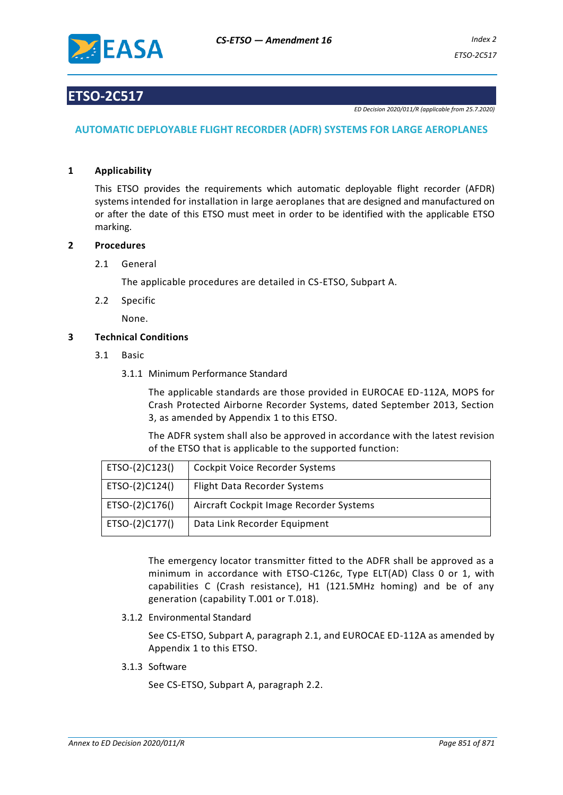

## **ETSO-2C517**

*ED Decision 2020/011/R (applicable from 25.7.2020)*

#### **AUTOMATIC DEPLOYABLE FLIGHT RECORDER (ADFR) SYSTEMS FOR LARGE AEROPLANES**

#### **1 Applicability**

This ETSO provides the requirements which automatic deployable flight recorder (AFDR) systems intended for installation in large aeroplanes that are designed and manufactured on or after the date of this ETSO must meet in order to be identified with the applicable ETSO marking.

#### **2 Procedures**

#### 2.1 General

The applicable procedures are detailed in CS-ETSO, Subpart A.

2.2 Specific

None.

#### **3 Technical Conditions**

- 3.1 Basic
	- 3.1.1 Minimum Performance Standard

The applicable standards are those provided in EUROCAE ED-112A, MOPS for Crash Protected Airborne Recorder Systems, dated September 2013, Section 3, as amended by Appendix 1 to this ETSO.

The ADFR system shall also be approved in accordance with the latest revision of the ETSO that is applicable to the supported function:

| ETSO-(2)C123() | Cockpit Voice Recorder Systems          |
|----------------|-----------------------------------------|
| ETSO-(2)C124() | Flight Data Recorder Systems            |
| ETSO-(2)C176() | Aircraft Cockpit Image Recorder Systems |
| ETSO-(2)C177() | Data Link Recorder Equipment            |

The emergency locator transmitter fitted to the ADFR shall be approved as a minimum in accordance with ETSO-C126c, Type ELT(AD) Class 0 or 1, with capabilities C (Crash resistance), H1 (121.5MHz homing) and be of any generation (capability T.001 or T.018).

3.1.2 Environmental Standard

See CS-ETSO, Subpart A, paragraph 2.1, and EUROCAE ED-112A as amended by Appendix 1 to this ETSO.

3.1.3 Software

See CS-ETSO, Subpart A, paragraph 2.2.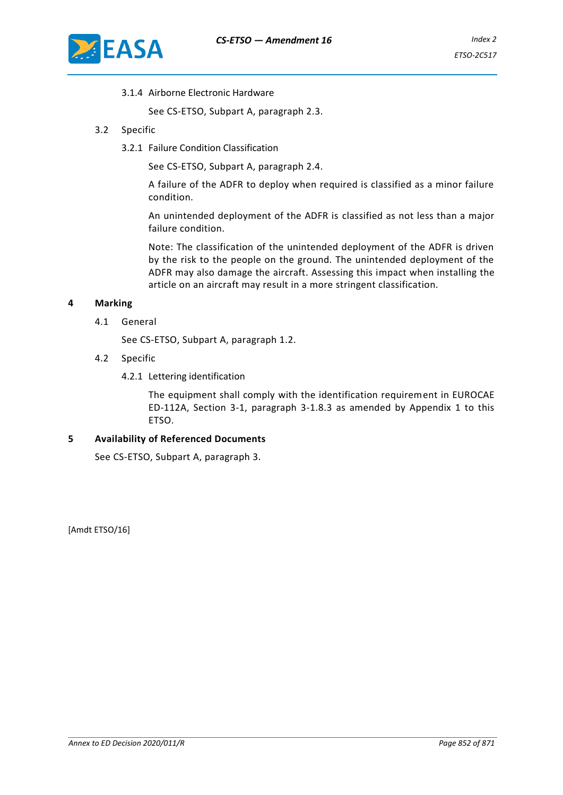

3.1.4 Airborne Electronic Hardware

See CS-ETSO, Subpart A, paragraph 2.3.

- 3.2 Specific
	- 3.2.1 Failure Condition Classification

See CS-ETSO, Subpart A, paragraph 2.4.

A failure of the ADFR to deploy when required is classified as a minor failure condition.

An unintended deployment of the ADFR is classified as not less than a major failure condition.

Note: The classification of the unintended deployment of the ADFR is driven by the risk to the people on the ground. The unintended deployment of the ADFR may also damage the aircraft. Assessing this impact when installing the article on an aircraft may result in a more stringent classification.

#### **4 Marking**

4.1 General

See CS-ETSO, Subpart A, paragraph 1.2.

- 4.2 Specific
	- 4.2.1 Lettering identification

The equipment shall comply with the identification requirement in EUROCAE ED-112A, Section 3-1, paragraph 3-1.8.3 as amended by Appendix 1 to this ETSO.

#### **5 Availability of Referenced Documents**

See CS-ETSO, Subpart A, paragraph 3.

[Amdt ETSO/16]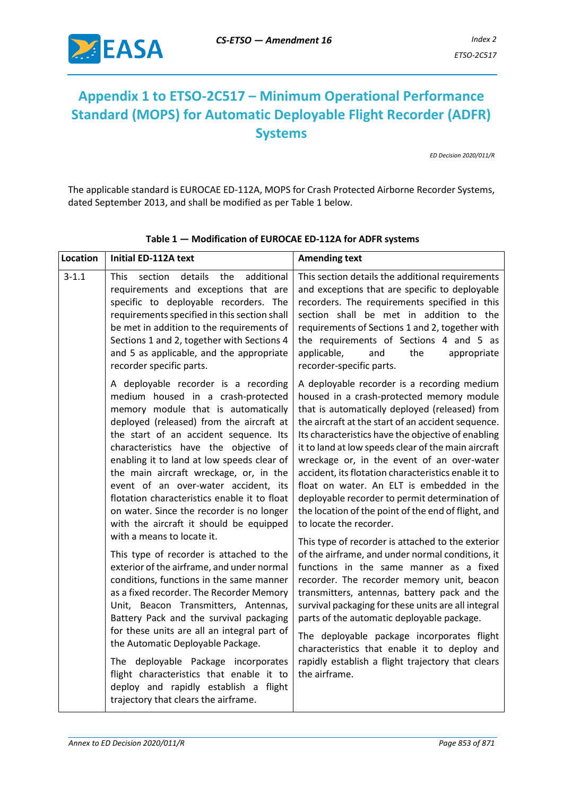

## **Appendix 1 to ETSO-2C517 – Minimum Operational Performance Standard (MOPS) for Automatic Deployable Flight Recorder (ADFR) Systems**

*ED Decision 2020/011/R*

The applicable standard is EUROCAE ED-112A, MOPS for Crash Protected Airborne Recorder Systems, dated September 2013, and shall be modified as per Table 1 below.

| $3 - 1.1$<br><b>This</b><br>section<br>details<br>the<br>additional<br>requirements and exceptions that are<br>specific to deployable recorders. The<br>requirements specified in this section shall<br>be met in addition to the requirements of<br>Sections 1 and 2, together with Sections 4<br>and 5 as applicable, and the appropriate<br>recorder specific parts.                                                                                                                                                                                                                                                                                                                                                                                                                                                                                                                                                                                                                                                                     | This section details the additional requirements<br>and exceptions that are specific to deployable<br>recorders. The requirements specified in this<br>section shall be met in addition to the<br>requirements of Sections 1 and 2, together with<br>the requirements of Sections 4 and 5 as<br>applicable,<br>the<br>and<br>appropriate<br>recorder-specific parts.                                                                                                                                                                                                                                                                                                                                                                                                                                                                                                                                                                                                                                                                                                                                                            |
|---------------------------------------------------------------------------------------------------------------------------------------------------------------------------------------------------------------------------------------------------------------------------------------------------------------------------------------------------------------------------------------------------------------------------------------------------------------------------------------------------------------------------------------------------------------------------------------------------------------------------------------------------------------------------------------------------------------------------------------------------------------------------------------------------------------------------------------------------------------------------------------------------------------------------------------------------------------------------------------------------------------------------------------------|---------------------------------------------------------------------------------------------------------------------------------------------------------------------------------------------------------------------------------------------------------------------------------------------------------------------------------------------------------------------------------------------------------------------------------------------------------------------------------------------------------------------------------------------------------------------------------------------------------------------------------------------------------------------------------------------------------------------------------------------------------------------------------------------------------------------------------------------------------------------------------------------------------------------------------------------------------------------------------------------------------------------------------------------------------------------------------------------------------------------------------|
| A deployable recorder is a recording<br>medium housed in a crash-protected<br>memory module that is automatically<br>deployed (released) from the aircraft at<br>the start of an accident sequence. Its<br>characteristics have the objective of<br>enabling it to land at low speeds clear of<br>the main aircraft wreckage, or, in the<br>event of an over-water accident, its<br>flotation characteristics enable it to float<br>on water. Since the recorder is no longer<br>with the aircraft it should be equipped<br>with a means to locate it.<br>This type of recorder is attached to the<br>exterior of the airframe, and under normal<br>conditions, functions in the same manner<br>as a fixed recorder. The Recorder Memory<br>Unit, Beacon Transmitters, Antennas,<br>Battery Pack and the survival packaging<br>for these units are all an integral part of<br>the Automatic Deployable Package.<br>The deployable Package incorporates<br>flight characteristics that enable it to<br>deploy and rapidly establish a flight | A deployable recorder is a recording medium<br>housed in a crash-protected memory module<br>that is automatically deployed (released) from<br>the aircraft at the start of an accident sequence.<br>Its characteristics have the objective of enabling<br>it to land at low speeds clear of the main aircraft<br>wreckage or, in the event of an over-water<br>accident, its flotation characteristics enable it to<br>float on water. An ELT is embedded in the<br>deployable recorder to permit determination of<br>the location of the point of the end of flight, and<br>to locate the recorder.<br>This type of recorder is attached to the exterior<br>of the airframe, and under normal conditions, it<br>functions in the same manner as a fixed<br>recorder. The recorder memory unit, beacon<br>transmitters, antennas, battery pack and the<br>survival packaging for these units are all integral<br>parts of the automatic deployable package.<br>The deployable package incorporates flight<br>characteristics that enable it to deploy and<br>rapidly establish a flight trajectory that clears<br>the airframe. |

**Table 1 — Modification of EUROCAE ED-112A for ADFR systems**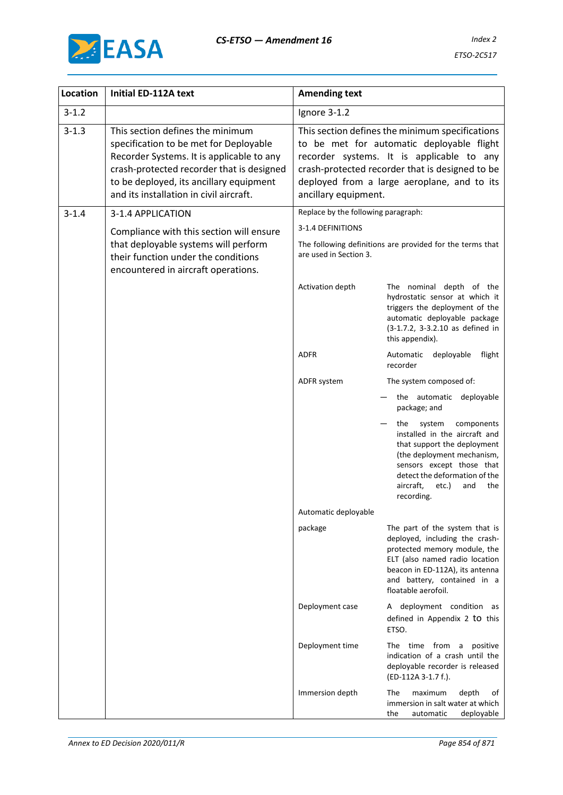

| <b>Location</b> | Initial ED-112A text                                                                                                                                                                                                                                       | <b>Amending text</b>                |                                                                                                                                                                                                                                             |
|-----------------|------------------------------------------------------------------------------------------------------------------------------------------------------------------------------------------------------------------------------------------------------------|-------------------------------------|---------------------------------------------------------------------------------------------------------------------------------------------------------------------------------------------------------------------------------------------|
| $3 - 1.2$       |                                                                                                                                                                                                                                                            | Ignore 3-1.2                        |                                                                                                                                                                                                                                             |
| $3 - 1.3$       | This section defines the minimum<br>specification to be met for Deployable<br>Recorder Systems. It is applicable to any<br>crash-protected recorder that is designed<br>to be deployed, its ancillary equipment<br>and its installation in civil aircraft. | ancillary equipment.                | This section defines the minimum specifications<br>to be met for automatic deployable flight<br>recorder systems. It is applicable to any<br>crash-protected recorder that is designed to be<br>deployed from a large aeroplane, and to its |
| $3 - 1.4$       | 3-1.4 APPLICATION                                                                                                                                                                                                                                          | Replace by the following paragraph: |                                                                                                                                                                                                                                             |
|                 | Compliance with this section will ensure                                                                                                                                                                                                                   | 3-1.4 DEFINITIONS                   |                                                                                                                                                                                                                                             |
|                 | that deployable systems will perform<br>their function under the conditions<br>encountered in aircraft operations.                                                                                                                                         | are used in Section 3.              | The following definitions are provided for the terms that                                                                                                                                                                                   |
|                 |                                                                                                                                                                                                                                                            | Activation depth                    | The nominal depth of the<br>hydrostatic sensor at which it<br>triggers the deployment of the<br>automatic deployable package<br>(3-1.7.2, 3-3.2.10 as defined in<br>this appendix).                                                         |
|                 |                                                                                                                                                                                                                                                            | <b>ADFR</b>                         | Automatic<br>deployable<br>flight<br>recorder                                                                                                                                                                                               |
|                 |                                                                                                                                                                                                                                                            | ADFR system                         | The system composed of:                                                                                                                                                                                                                     |
|                 |                                                                                                                                                                                                                                                            |                                     | the automatic deployable<br>package; and                                                                                                                                                                                                    |
|                 |                                                                                                                                                                                                                                                            |                                     | the<br>system<br>components<br>installed in the aircraft and<br>that support the deployment<br>(the deployment mechanism,<br>sensors except those that<br>detect the deformation of the<br>aircraft,<br>etc.)<br>and<br>the<br>recording.   |
|                 |                                                                                                                                                                                                                                                            | Automatic deployable                |                                                                                                                                                                                                                                             |
|                 |                                                                                                                                                                                                                                                            | package                             | The part of the system that is<br>deployed, including the crash-<br>protected memory module, the<br>ELT (also named radio location<br>beacon in ED-112A), its antenna<br>and battery, contained in a<br>floatable aerofoil.                 |
|                 |                                                                                                                                                                                                                                                            | Deployment case                     | A deployment condition as<br>defined in Appendix 2 to this<br>ETSO.                                                                                                                                                                         |
|                 |                                                                                                                                                                                                                                                            | Deployment time                     | The time from a<br>positive<br>indication of a crash until the<br>deployable recorder is released<br>(ED-112A 3-1.7 f.).                                                                                                                    |
|                 |                                                                                                                                                                                                                                                            | Immersion depth                     | maximum<br>The<br>depth<br>of<br>immersion in salt water at which<br>deployable<br>the<br>automatic                                                                                                                                         |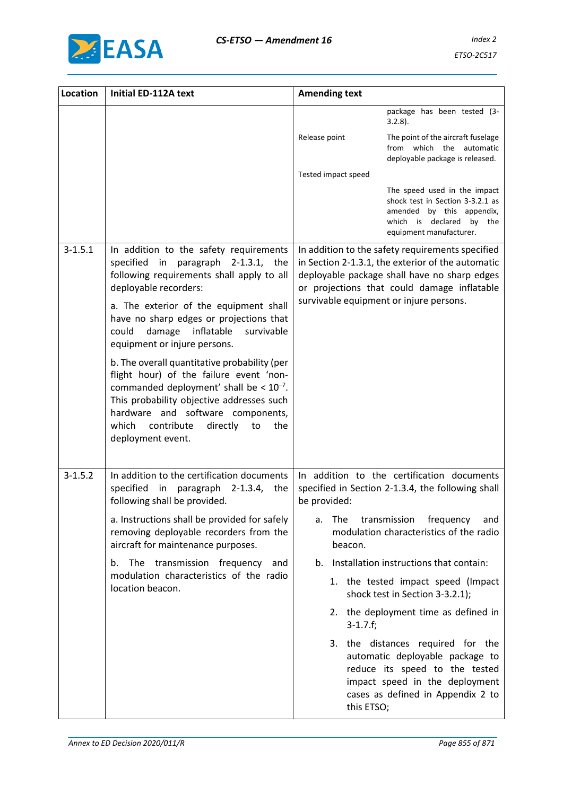

| Location    | <b>Initial ED-112A text</b>                                                                                                                                                                                                                                                                    | <b>Amending text</b>                                                                                                                                                                                 |     |
|-------------|------------------------------------------------------------------------------------------------------------------------------------------------------------------------------------------------------------------------------------------------------------------------------------------------|------------------------------------------------------------------------------------------------------------------------------------------------------------------------------------------------------|-----|
|             |                                                                                                                                                                                                                                                                                                | package has been tested (3-<br>$3.2.8$ ).                                                                                                                                                            |     |
|             |                                                                                                                                                                                                                                                                                                | Release point<br>The point of the aircraft fuselage<br>from which the automatic<br>deployable package is released.                                                                                   |     |
|             |                                                                                                                                                                                                                                                                                                | Tested impact speed                                                                                                                                                                                  |     |
|             |                                                                                                                                                                                                                                                                                                | The speed used in the impact<br>shock test in Section 3-3.2.1 as<br>amended by this appendix,<br>which is declared by the<br>equipment manufacturer.                                                 |     |
| $3 - 1.5.1$ | In addition to the safety requirements<br>specified in paragraph 2-1.3.1, the<br>following requirements shall apply to all<br>deployable recorders:                                                                                                                                            | In addition to the safety requirements specified<br>in Section 2-1.3.1, the exterior of the automatic<br>deployable package shall have no sharp edges<br>or projections that could damage inflatable |     |
|             | a. The exterior of the equipment shall<br>have no sharp edges or projections that<br>inflatable<br>could<br>damage<br>survivable<br>equipment or injure persons.                                                                                                                               | survivable equipment or injure persons.                                                                                                                                                              |     |
|             | b. The overall quantitative probability (per<br>flight hour) of the failure event 'non-<br>commanded deployment' shall be $< 10^{-7}$ .<br>This probability objective addresses such<br>hardware and software components,<br>which<br>contribute<br>directly<br>the<br>to<br>deployment event. |                                                                                                                                                                                                      |     |
| $3 - 1.5.2$ | In addition to the certification documents<br>specified<br>in<br>paragraph 2-1.3.4, the<br>following shall be provided.                                                                                                                                                                        | In addition to the certification documents<br>specified in Section 2-1.3.4, the following shall<br>be provided:                                                                                      |     |
|             | a. Instructions shall be provided for safely<br>removing deployable recorders from the<br>aircraft for maintenance purposes.                                                                                                                                                                   | transmission<br>frequency<br>The<br>a.<br>modulation characteristics of the radio<br>beacon.                                                                                                         | and |
|             | b. The transmission frequency and                                                                                                                                                                                                                                                              | Installation instructions that contain:<br>b.                                                                                                                                                        |     |
|             | modulation characteristics of the radio<br>location beacon.                                                                                                                                                                                                                                    | 1. the tested impact speed (Impact<br>shock test in Section 3-3.2.1);                                                                                                                                |     |
|             |                                                                                                                                                                                                                                                                                                | 2. the deployment time as defined in<br>$3 - 1.7.f;$                                                                                                                                                 |     |
|             |                                                                                                                                                                                                                                                                                                | 3. the distances required for the<br>automatic deployable package to<br>reduce its speed to the tested<br>impact speed in the deployment<br>cases as defined in Appendix 2 to<br>this ETSO;          |     |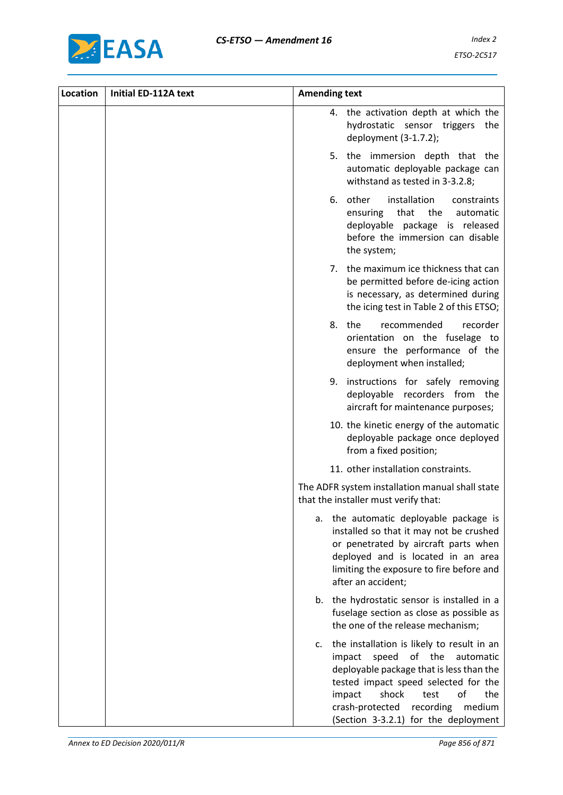

| Location | Initial ED-112A text | <b>Amending text</b> |                  |                                                                                                                                                                                                                                                                                |
|----------|----------------------|----------------------|------------------|--------------------------------------------------------------------------------------------------------------------------------------------------------------------------------------------------------------------------------------------------------------------------------|
|          |                      |                      | 4.               | the activation depth at which the<br>hydrostatic sensor triggers<br>the<br>deployment (3-1.7.2);                                                                                                                                                                               |
|          |                      |                      | 5.               | the immersion depth that the<br>automatic deployable package can<br>withstand as tested in 3-3.2.8;                                                                                                                                                                            |
|          |                      |                      | 6.               | other<br>installation<br>constraints<br>that<br>the<br>ensuring<br>automatic<br>deployable package is released<br>before the immersion can disable<br>the system;                                                                                                              |
|          |                      |                      | 7.               | the maximum ice thickness that can<br>be permitted before de-icing action<br>is necessary, as determined during<br>the icing test in Table 2 of this ETSO;                                                                                                                     |
|          |                      |                      | 8.               | the<br>recommended<br>recorder<br>orientation on the fuselage to<br>ensure the performance of the<br>deployment when installed;                                                                                                                                                |
|          |                      |                      | 9.               | instructions for safely removing<br>deployable recorders from the<br>aircraft for maintenance purposes;                                                                                                                                                                        |
|          |                      |                      |                  | 10. the kinetic energy of the automatic<br>deployable package once deployed<br>from a fixed position;                                                                                                                                                                          |
|          |                      |                      |                  | 11. other installation constraints.                                                                                                                                                                                                                                            |
|          |                      |                      |                  | The ADFR system installation manual shall state<br>that the installer must verify that:                                                                                                                                                                                        |
|          |                      |                      |                  | a. the automatic deployable package is<br>installed so that it may not be crushed<br>or penetrated by aircraft parts when<br>deployed and is located in an area<br>limiting the exposure to fire before and<br>after an accident;                                              |
|          |                      |                      |                  | b. the hydrostatic sensor is installed in a<br>fuselage section as close as possible as<br>the one of the release mechanism;                                                                                                                                                   |
|          |                      | c.                   | impact<br>impact | the installation is likely to result in an<br>speed<br>of the<br>automatic<br>deployable package that is less than the<br>tested impact speed selected for the<br>shock<br>of<br>the<br>test<br>recording<br>medium<br>crash-protected<br>(Section 3-3.2.1) for the deployment |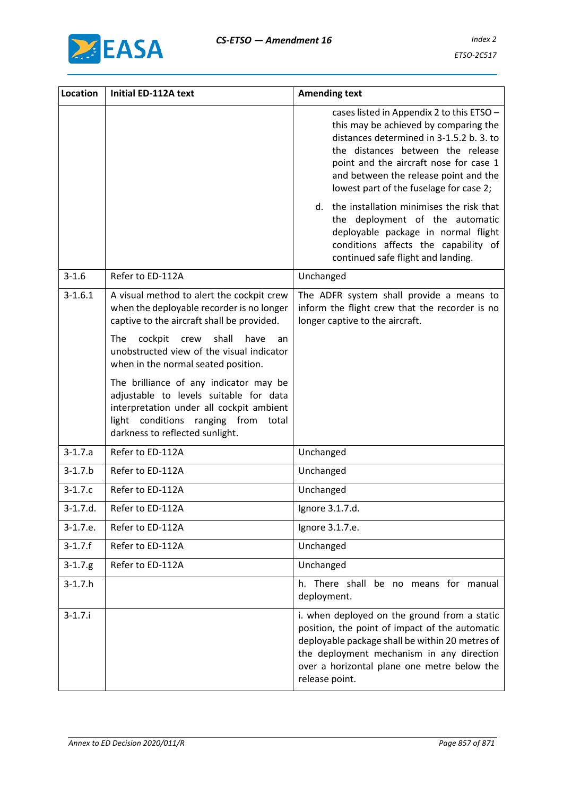

| Location     | <b>Initial ED-112A text</b>                                                                                                                                                                            | <b>Amending text</b>                                                                                                                                                                                                                                                                              |
|--------------|--------------------------------------------------------------------------------------------------------------------------------------------------------------------------------------------------------|---------------------------------------------------------------------------------------------------------------------------------------------------------------------------------------------------------------------------------------------------------------------------------------------------|
|              |                                                                                                                                                                                                        | cases listed in Appendix 2 to this ETSO -<br>this may be achieved by comparing the<br>distances determined in 3-1.5.2 b. 3. to<br>the distances between the release<br>point and the aircraft nose for case 1<br>and between the release point and the<br>lowest part of the fuselage for case 2; |
|              |                                                                                                                                                                                                        | d. the installation minimises the risk that<br>the deployment of the automatic<br>deployable package in normal flight<br>conditions affects the capability of<br>continued safe flight and landing.                                                                                               |
| $3 - 1.6$    | Refer to ED-112A                                                                                                                                                                                       | Unchanged                                                                                                                                                                                                                                                                                         |
| $3 - 1.6.1$  | A visual method to alert the cockpit crew<br>when the deployable recorder is no longer<br>captive to the aircraft shall be provided.                                                                   | The ADFR system shall provide a means to<br>inform the flight crew that the recorder is no<br>longer captive to the aircraft.                                                                                                                                                                     |
|              | cockpit<br>crew<br>shall<br>have<br>The<br>an<br>unobstructed view of the visual indicator<br>when in the normal seated position.                                                                      |                                                                                                                                                                                                                                                                                                   |
|              | The brilliance of any indicator may be<br>adjustable to levels suitable for data<br>interpretation under all cockpit ambient<br>light conditions ranging from total<br>darkness to reflected sunlight. |                                                                                                                                                                                                                                                                                                   |
| $3 - 1.7.a$  | Refer to ED-112A                                                                                                                                                                                       | Unchanged                                                                                                                                                                                                                                                                                         |
| $3 - 1.7.b$  | Refer to ED-112A                                                                                                                                                                                       | Unchanged                                                                                                                                                                                                                                                                                         |
| $3 - 1.7.c$  | Refer to ED-112A                                                                                                                                                                                       | Unchanged                                                                                                                                                                                                                                                                                         |
| 3-1.7.d.     | Refer to ED-112A                                                                                                                                                                                       | Ignore 3.1.7.d.                                                                                                                                                                                                                                                                                   |
| $3-1.7.e.$   | Refer to ED-112A                                                                                                                                                                                       | Ignore 3.1.7.e.                                                                                                                                                                                                                                                                                   |
| $3 - 1.7.f$  | Refer to ED-112A                                                                                                                                                                                       | Unchanged                                                                                                                                                                                                                                                                                         |
| $3 - 1.7$ .g | Refer to ED-112A                                                                                                                                                                                       | Unchanged                                                                                                                                                                                                                                                                                         |
| $3-1.7.h$    |                                                                                                                                                                                                        | h. There shall be no means for manual<br>deployment.                                                                                                                                                                                                                                              |
| $3 - 1.7$ .  |                                                                                                                                                                                                        | i. when deployed on the ground from a static<br>position, the point of impact of the automatic<br>deployable package shall be within 20 metres of<br>the deployment mechanism in any direction<br>over a horizontal plane one metre below the<br>release point.                                   |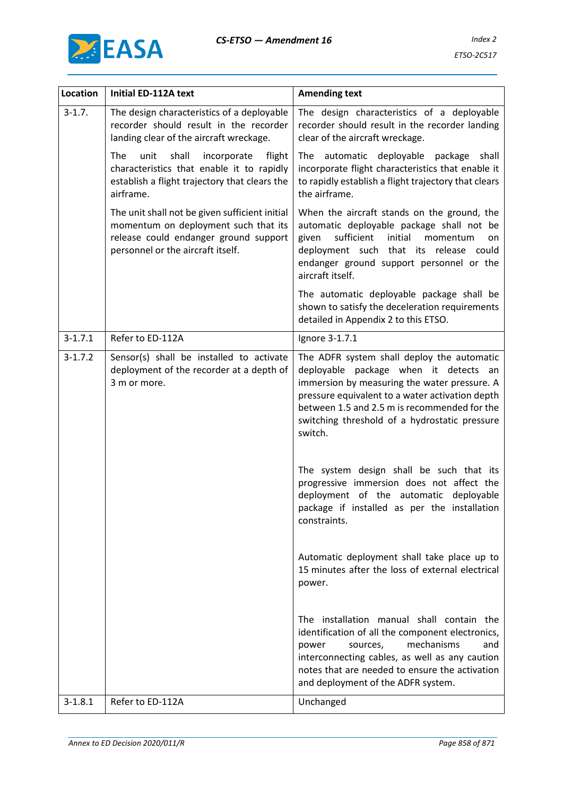



| <b>Location</b> | Initial ED-112A text                                                                                                                                                 | <b>Amending text</b>                                                                                                                                                                                                                                                                               |
|-----------------|----------------------------------------------------------------------------------------------------------------------------------------------------------------------|----------------------------------------------------------------------------------------------------------------------------------------------------------------------------------------------------------------------------------------------------------------------------------------------------|
| $3 - 1.7$ .     | The design characteristics of a deployable<br>recorder should result in the recorder<br>landing clear of the aircraft wreckage.                                      | The design characteristics of a deployable<br>recorder should result in the recorder landing<br>clear of the aircraft wreckage.                                                                                                                                                                    |
|                 | The<br>unit<br>shall<br>incorporate<br>flight<br>characteristics that enable it to rapidly<br>establish a flight trajectory that clears the<br>airframe.             | automatic deployable package<br>The<br>shall<br>incorporate flight characteristics that enable it<br>to rapidly establish a flight trajectory that clears<br>the airframe.                                                                                                                         |
|                 | The unit shall not be given sufficient initial<br>momentum on deployment such that its<br>release could endanger ground support<br>personnel or the aircraft itself. | When the aircraft stands on the ground, the<br>automatic deployable package shall not be<br>sufficient<br>initial<br>given<br>momentum<br>on<br>deployment such that its release could<br>endanger ground support personnel or the<br>aircraft itself.                                             |
|                 |                                                                                                                                                                      | The automatic deployable package shall be<br>shown to satisfy the deceleration requirements<br>detailed in Appendix 2 to this ETSO.                                                                                                                                                                |
| $3 - 1.7.1$     | Refer to ED-112A                                                                                                                                                     | Ignore 3-1.7.1                                                                                                                                                                                                                                                                                     |
| $3 - 1.7.2$     | Sensor(s) shall be installed to activate<br>deployment of the recorder at a depth of<br>3 m or more.                                                                 | The ADFR system shall deploy the automatic<br>deployable package when it detects an<br>immersion by measuring the water pressure. A<br>pressure equivalent to a water activation depth<br>between 1.5 and 2.5 m is recommended for the<br>switching threshold of a hydrostatic pressure<br>switch. |
|                 |                                                                                                                                                                      | The system design shall be such that its<br>progressive immersion does not affect the<br>deployment of the automatic deployable<br>package if installed as per the installation<br>constraints.                                                                                                    |
|                 |                                                                                                                                                                      | Automatic deployment shall take place up to<br>15 minutes after the loss of external electrical<br>power.                                                                                                                                                                                          |
|                 |                                                                                                                                                                      | The installation manual shall contain the<br>identification of all the component electronics,<br>mechanisms<br>power<br>sources,<br>and<br>interconnecting cables, as well as any caution<br>notes that are needed to ensure the activation<br>and deployment of the ADFR system.                  |
| $3 - 1.8.1$     | Refer to ED-112A                                                                                                                                                     | Unchanged                                                                                                                                                                                                                                                                                          |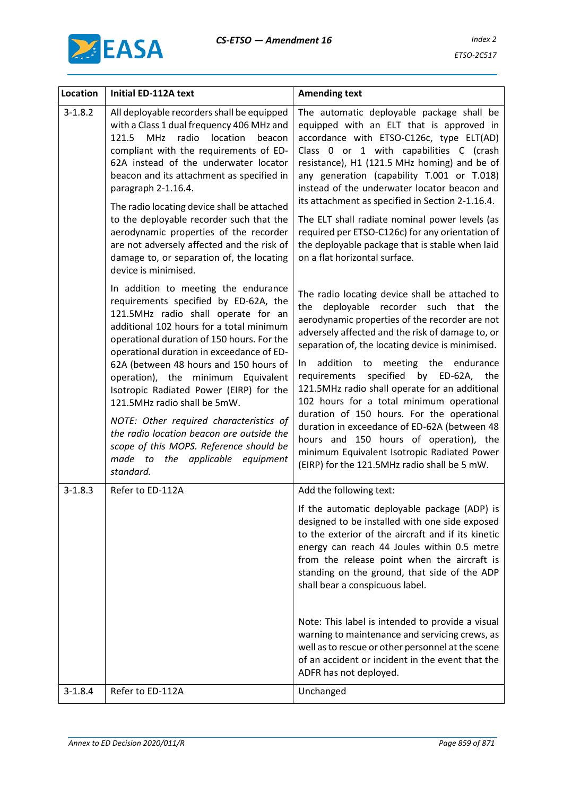

| Location    | <b>Initial ED-112A text</b>                                                                                                                                                                                                                                                                                                                                                                                                                                                                                                                                                                                | <b>Amending text</b>                                                                                                                                                                                                                                                                                                                                                                                                                                                                                                                                                                                                                                                                 |
|-------------|------------------------------------------------------------------------------------------------------------------------------------------------------------------------------------------------------------------------------------------------------------------------------------------------------------------------------------------------------------------------------------------------------------------------------------------------------------------------------------------------------------------------------------------------------------------------------------------------------------|--------------------------------------------------------------------------------------------------------------------------------------------------------------------------------------------------------------------------------------------------------------------------------------------------------------------------------------------------------------------------------------------------------------------------------------------------------------------------------------------------------------------------------------------------------------------------------------------------------------------------------------------------------------------------------------|
| $3 - 1.8.2$ | All deployable recorders shall be equipped<br>with a Class 1 dual frequency 406 MHz and<br>location<br>MHz radio<br>beacon<br>121.5<br>compliant with the requirements of ED-<br>62A instead of the underwater locator<br>beacon and its attachment as specified in<br>paragraph 2-1.16.4.                                                                                                                                                                                                                                                                                                                 | The automatic deployable package shall be<br>equipped with an ELT that is approved in<br>accordance with ETSO-C126c, type ELT(AD)<br>Class 0 or 1 with capabilities C (crash<br>resistance), H1 (121.5 MHz homing) and be of<br>any generation (capability T.001 or T.018)<br>instead of the underwater locator beacon and<br>its attachment as specified in Section 2-1.16.4.                                                                                                                                                                                                                                                                                                       |
|             | The radio locating device shall be attached<br>to the deployable recorder such that the<br>aerodynamic properties of the recorder<br>are not adversely affected and the risk of<br>damage to, or separation of, the locating<br>device is minimised.                                                                                                                                                                                                                                                                                                                                                       | The ELT shall radiate nominal power levels (as<br>required per ETSO-C126c) for any orientation of<br>the deployable package that is stable when laid<br>on a flat horizontal surface.                                                                                                                                                                                                                                                                                                                                                                                                                                                                                                |
|             | In addition to meeting the endurance<br>requirements specified by ED-62A, the<br>121.5MHz radio shall operate for an<br>additional 102 hours for a total minimum<br>operational duration of 150 hours. For the<br>operational duration in exceedance of ED-<br>62A (between 48 hours and 150 hours of<br>operation), the minimum Equivalent<br>Isotropic Radiated Power (EIRP) for the<br>121.5MHz radio shall be 5mW.<br>NOTE: Other required characteristics of<br>the radio location beacon are outside the<br>scope of this MOPS. Reference should be<br>made to the applicable equipment<br>standard. | The radio locating device shall be attached to<br>deployable recorder such that the<br>the<br>aerodynamic properties of the recorder are not<br>adversely affected and the risk of damage to, or<br>separation of, the locating device is minimised.<br>addition to meeting the endurance<br>In In<br>specified by ED-62A, the<br>requirements<br>121.5MHz radio shall operate for an additional<br>102 hours for a total minimum operational<br>duration of 150 hours. For the operational<br>duration in exceedance of ED-62A (between 48<br>hours and 150 hours of operation), the<br>minimum Equivalent Isotropic Radiated Power<br>(EIRP) for the 121.5MHz radio shall be 5 mW. |
| $3 - 1.8.3$ | Refer to ED-112A                                                                                                                                                                                                                                                                                                                                                                                                                                                                                                                                                                                           | Add the following text:                                                                                                                                                                                                                                                                                                                                                                                                                                                                                                                                                                                                                                                              |
|             |                                                                                                                                                                                                                                                                                                                                                                                                                                                                                                                                                                                                            | If the automatic deployable package (ADP) is<br>designed to be installed with one side exposed<br>to the exterior of the aircraft and if its kinetic<br>energy can reach 44 Joules within 0.5 metre<br>from the release point when the aircraft is<br>standing on the ground, that side of the ADP<br>shall bear a conspicuous label.                                                                                                                                                                                                                                                                                                                                                |
|             |                                                                                                                                                                                                                                                                                                                                                                                                                                                                                                                                                                                                            | Note: This label is intended to provide a visual<br>warning to maintenance and servicing crews, as<br>well as to rescue or other personnel at the scene<br>of an accident or incident in the event that the<br>ADFR has not deployed.                                                                                                                                                                                                                                                                                                                                                                                                                                                |
| $3 - 1.8.4$ | Refer to ED-112A                                                                                                                                                                                                                                                                                                                                                                                                                                                                                                                                                                                           | Unchanged                                                                                                                                                                                                                                                                                                                                                                                                                                                                                                                                                                                                                                                                            |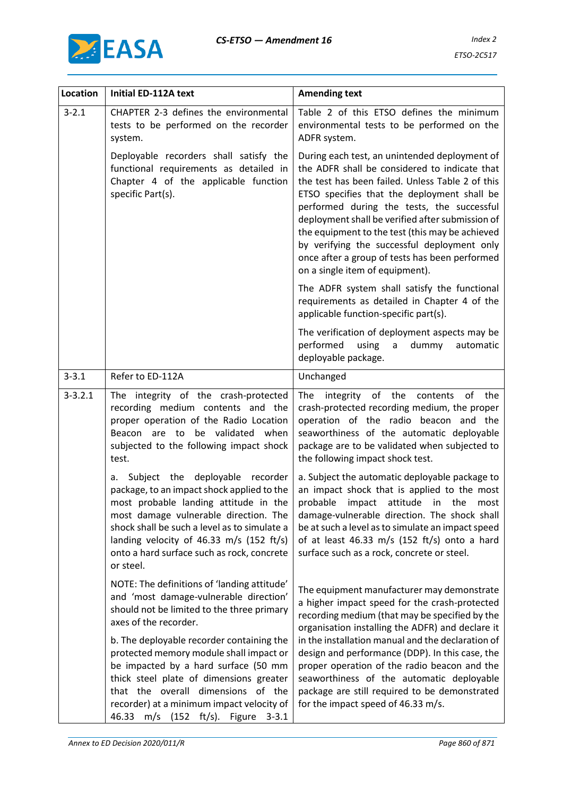

| Location    | Initial ED-112A text                                                                                                                                                                                                                                                                                                         | <b>Amending text</b>                                                                                                                                                                                                                                                                                                                                                                                                                                                                       |
|-------------|------------------------------------------------------------------------------------------------------------------------------------------------------------------------------------------------------------------------------------------------------------------------------------------------------------------------------|--------------------------------------------------------------------------------------------------------------------------------------------------------------------------------------------------------------------------------------------------------------------------------------------------------------------------------------------------------------------------------------------------------------------------------------------------------------------------------------------|
| $3 - 2.1$   | CHAPTER 2-3 defines the environmental<br>tests to be performed on the recorder<br>system.                                                                                                                                                                                                                                    | Table 2 of this ETSO defines the minimum<br>environmental tests to be performed on the<br>ADFR system.                                                                                                                                                                                                                                                                                                                                                                                     |
|             | Deployable recorders shall satisfy the<br>functional requirements as detailed in<br>Chapter 4 of the applicable function<br>specific Part(s).                                                                                                                                                                                | During each test, an unintended deployment of<br>the ADFR shall be considered to indicate that<br>the test has been failed. Unless Table 2 of this<br>ETSO specifies that the deployment shall be<br>performed during the tests, the successful<br>deployment shall be verified after submission of<br>the equipment to the test (this may be achieved<br>by verifying the successful deployment only<br>once after a group of tests has been performed<br>on a single item of equipment). |
|             |                                                                                                                                                                                                                                                                                                                              | The ADFR system shall satisfy the functional<br>requirements as detailed in Chapter 4 of the<br>applicable function-specific part(s).                                                                                                                                                                                                                                                                                                                                                      |
|             |                                                                                                                                                                                                                                                                                                                              | The verification of deployment aspects may be<br>performed<br>using<br>dummy<br>automatic<br>$\mathsf{a}$<br>deployable package.                                                                                                                                                                                                                                                                                                                                                           |
| $3 - 3.1$   | Refer to ED-112A                                                                                                                                                                                                                                                                                                             | Unchanged                                                                                                                                                                                                                                                                                                                                                                                                                                                                                  |
| $3 - 3.2.1$ | The integrity of the crash-protected<br>recording medium contents and the<br>proper operation of the Radio Location<br>be validated when<br>Beacon are to<br>subjected to the following impact shock<br>test.                                                                                                                | integrity of the<br>of<br>the<br>The<br>contents<br>crash-protected recording medium, the proper<br>operation of the radio beacon and the<br>seaworthiness of the automatic deployable<br>package are to be validated when subjected to<br>the following impact shock test.                                                                                                                                                                                                                |
|             | Subject the deployable recorder<br>а.<br>package, to an impact shock applied to the<br>most probable landing attitude in the<br>most damage vulnerable direction. The<br>shock shall be such a level as to simulate a<br>landing velocity of 46.33 m/s (152 ft/s)<br>onto a hard surface such as rock, concrete<br>or steel. | a. Subject the automatic deployable package to<br>an impact shock that is applied to the most<br>probable impact attitude in the<br>most<br>damage-vulnerable direction. The shock shall<br>be at such a level as to simulate an impact speed<br>of at least 46.33 m/s (152 ft/s) onto a hard<br>surface such as a rock, concrete or steel.                                                                                                                                                |
|             | NOTE: The definitions of 'landing attitude'<br>and 'most damage-vulnerable direction'<br>should not be limited to the three primary<br>axes of the recorder.                                                                                                                                                                 | The equipment manufacturer may demonstrate<br>a higher impact speed for the crash-protected<br>recording medium (that may be specified by the<br>organisation installing the ADFR) and declare it                                                                                                                                                                                                                                                                                          |
|             | b. The deployable recorder containing the<br>protected memory module shall impact or<br>be impacted by a hard surface (50 mm<br>thick steel plate of dimensions greater<br>that the overall dimensions of the<br>recorder) at a minimum impact velocity of<br>46.33 m/s (152 ft/s). Figure<br>$3 - 3.1$                      | in the installation manual and the declaration of<br>design and performance (DDP). In this case, the<br>proper operation of the radio beacon and the<br>seaworthiness of the automatic deployable<br>package are still required to be demonstrated<br>for the impact speed of 46.33 m/s.                                                                                                                                                                                                   |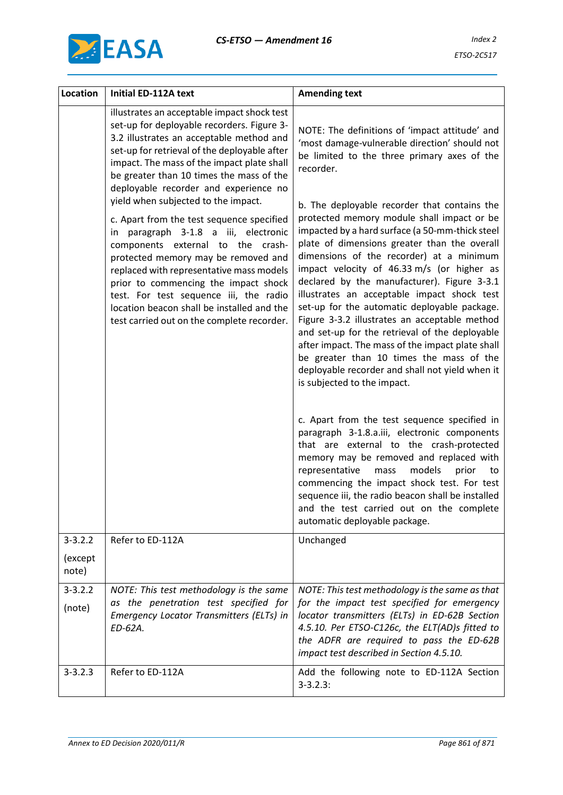



| Location               | <b>Initial ED-112A text</b>                                                                                                                                                                                                                                                                                                                                                                                                    | <b>Amending text</b>                                                                                                                                                                                                                                                                                                                                                                                                                                                                                                                                                                                                                                                                                                       |
|------------------------|--------------------------------------------------------------------------------------------------------------------------------------------------------------------------------------------------------------------------------------------------------------------------------------------------------------------------------------------------------------------------------------------------------------------------------|----------------------------------------------------------------------------------------------------------------------------------------------------------------------------------------------------------------------------------------------------------------------------------------------------------------------------------------------------------------------------------------------------------------------------------------------------------------------------------------------------------------------------------------------------------------------------------------------------------------------------------------------------------------------------------------------------------------------------|
|                        | illustrates an acceptable impact shock test<br>set-up for deployable recorders. Figure 3-<br>3.2 illustrates an acceptable method and<br>set-up for retrieval of the deployable after<br>impact. The mass of the impact plate shall<br>be greater than 10 times the mass of the<br>deployable recorder and experience no                                                                                                       | NOTE: The definitions of 'impact attitude' and<br>'most damage-vulnerable direction' should not<br>be limited to the three primary axes of the<br>recorder.                                                                                                                                                                                                                                                                                                                                                                                                                                                                                                                                                                |
|                        | yield when subjected to the impact.<br>c. Apart from the test sequence specified<br>in paragraph 3-1.8 a iii, electronic<br>components external to the crash-<br>protected memory may be removed and<br>replaced with representative mass models<br>prior to commencing the impact shock<br>test. For test sequence iii, the radio<br>location beacon shall be installed and the<br>test carried out on the complete recorder. | b. The deployable recorder that contains the<br>protected memory module shall impact or be<br>impacted by a hard surface (a 50-mm-thick steel<br>plate of dimensions greater than the overall<br>dimensions of the recorder) at a minimum<br>impact velocity of 46.33 m/s (or higher as<br>declared by the manufacturer). Figure 3-3.1<br>illustrates an acceptable impact shock test<br>set-up for the automatic deployable package.<br>Figure 3-3.2 illustrates an acceptable method<br>and set-up for the retrieval of the deployable<br>after impact. The mass of the impact plate shall<br>be greater than 10 times the mass of the<br>deployable recorder and shall not yield when it<br>is subjected to the impact. |
|                        |                                                                                                                                                                                                                                                                                                                                                                                                                                | c. Apart from the test sequence specified in<br>paragraph 3-1.8.a.iii, electronic components<br>that are external to the crash-protected<br>memory may be removed and replaced with<br>representative<br>models<br>mass<br>prior<br>to<br>commencing the impact shock test. For test<br>sequence iii, the radio beacon shall be installed<br>and the test carried out on the complete<br>automatic deployable package.                                                                                                                                                                                                                                                                                                     |
| $3 - 3.2.2$<br>(except | Refer to ED-112A                                                                                                                                                                                                                                                                                                                                                                                                               | Unchanged                                                                                                                                                                                                                                                                                                                                                                                                                                                                                                                                                                                                                                                                                                                  |
| note)                  |                                                                                                                                                                                                                                                                                                                                                                                                                                |                                                                                                                                                                                                                                                                                                                                                                                                                                                                                                                                                                                                                                                                                                                            |
| $3 - 3.2.2$<br>(note)  | NOTE: This test methodology is the same<br>as the penetration test specified for<br>Emergency Locator Transmitters (ELTs) in<br>ED-62A.                                                                                                                                                                                                                                                                                        | NOTE: This test methodology is the same as that<br>for the impact test specified for emergency<br>locator transmitters (ELTs) in ED-62B Section<br>4.5.10. Per ETSO-C126c, the ELT(AD)s fitted to<br>the ADFR are required to pass the ED-62B<br>impact test described in Section 4.5.10.                                                                                                                                                                                                                                                                                                                                                                                                                                  |
| $3 - 3.2.3$            | Refer to ED-112A                                                                                                                                                                                                                                                                                                                                                                                                               | Add the following note to ED-112A Section<br>$3 - 3.2.3$ :                                                                                                                                                                                                                                                                                                                                                                                                                                                                                                                                                                                                                                                                 |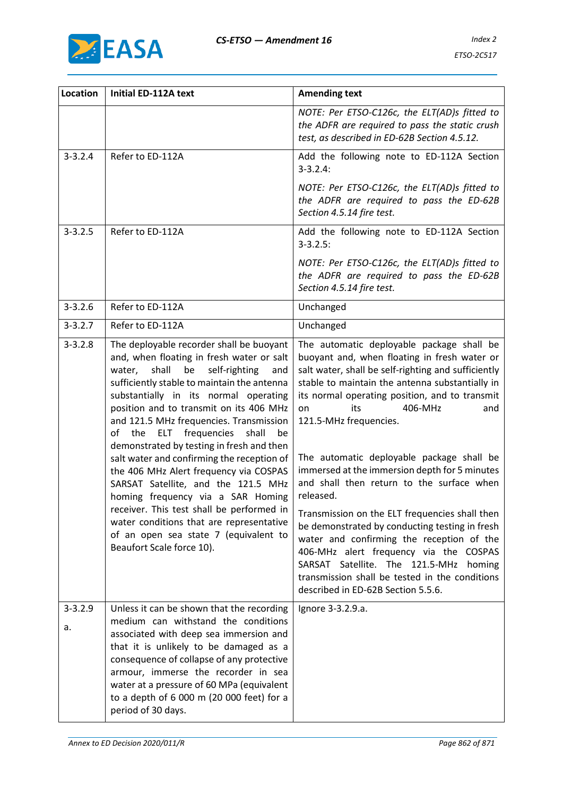

| Location          | Initial ED-112A text                                                                                                                                                                                                                                                                                                                                                                                                                                                                                                                                                                                                                                                                                                                                          | <b>Amending text</b>                                                                                                                                                                                                                                                                                                                                                                                                                                                                                                                                                                                                                                                                                                                                                                                   |
|-------------------|---------------------------------------------------------------------------------------------------------------------------------------------------------------------------------------------------------------------------------------------------------------------------------------------------------------------------------------------------------------------------------------------------------------------------------------------------------------------------------------------------------------------------------------------------------------------------------------------------------------------------------------------------------------------------------------------------------------------------------------------------------------|--------------------------------------------------------------------------------------------------------------------------------------------------------------------------------------------------------------------------------------------------------------------------------------------------------------------------------------------------------------------------------------------------------------------------------------------------------------------------------------------------------------------------------------------------------------------------------------------------------------------------------------------------------------------------------------------------------------------------------------------------------------------------------------------------------|
|                   |                                                                                                                                                                                                                                                                                                                                                                                                                                                                                                                                                                                                                                                                                                                                                               | NOTE: Per ETSO-C126c, the ELT(AD)s fitted to<br>the ADFR are required to pass the static crush<br>test, as described in ED-62B Section 4.5.12.                                                                                                                                                                                                                                                                                                                                                                                                                                                                                                                                                                                                                                                         |
| $3 - 3.2.4$       | Refer to ED-112A                                                                                                                                                                                                                                                                                                                                                                                                                                                                                                                                                                                                                                                                                                                                              | Add the following note to ED-112A Section<br>$3 - 3.2.4$ :                                                                                                                                                                                                                                                                                                                                                                                                                                                                                                                                                                                                                                                                                                                                             |
|                   |                                                                                                                                                                                                                                                                                                                                                                                                                                                                                                                                                                                                                                                                                                                                                               | NOTE: Per ETSO-C126c, the ELT(AD)s fitted to<br>the ADFR are required to pass the ED-62B<br>Section 4.5.14 fire test.                                                                                                                                                                                                                                                                                                                                                                                                                                                                                                                                                                                                                                                                                  |
| $3 - 3.2.5$       | Refer to ED-112A                                                                                                                                                                                                                                                                                                                                                                                                                                                                                                                                                                                                                                                                                                                                              | Add the following note to ED-112A Section<br>$3 - 3.2.5$ :                                                                                                                                                                                                                                                                                                                                                                                                                                                                                                                                                                                                                                                                                                                                             |
|                   |                                                                                                                                                                                                                                                                                                                                                                                                                                                                                                                                                                                                                                                                                                                                                               | NOTE: Per ETSO-C126c, the ELT(AD)s fitted to<br>the ADFR are required to pass the ED-62B<br>Section 4.5.14 fire test.                                                                                                                                                                                                                                                                                                                                                                                                                                                                                                                                                                                                                                                                                  |
| $3 - 3.2.6$       | Refer to ED-112A                                                                                                                                                                                                                                                                                                                                                                                                                                                                                                                                                                                                                                                                                                                                              | Unchanged                                                                                                                                                                                                                                                                                                                                                                                                                                                                                                                                                                                                                                                                                                                                                                                              |
| $3 - 3.2.7$       | Refer to ED-112A                                                                                                                                                                                                                                                                                                                                                                                                                                                                                                                                                                                                                                                                                                                                              | Unchanged                                                                                                                                                                                                                                                                                                                                                                                                                                                                                                                                                                                                                                                                                                                                                                                              |
| $3 - 3.2.8$       | The deployable recorder shall be buoyant<br>and, when floating in fresh water or salt<br>shall<br>be<br>water,<br>self-righting<br>and<br>sufficiently stable to maintain the antenna<br>substantially in its normal operating<br>position and to transmit on its 406 MHz<br>and 121.5 MHz frequencies. Transmission<br>of<br>frequencies<br>the<br><b>ELT</b><br>shall<br>be<br>demonstrated by testing in fresh and then<br>salt water and confirming the reception of<br>the 406 MHz Alert frequency via COSPAS<br>SARSAT Satellite, and the 121.5 MHz<br>homing frequency via a SAR Homing<br>receiver. This test shall be performed in<br>water conditions that are representative<br>of an open sea state 7 (equivalent to<br>Beaufort Scale force 10). | The automatic deployable package shall be<br>buoyant and, when floating in fresh water or<br>salt water, shall be self-righting and sufficiently<br>stable to maintain the antenna substantially in<br>its normal operating position, and to transmit<br>406-MHz<br>its<br>on<br>and<br>121.5-MHz frequencies.<br>The automatic deployable package shall be<br>immersed at the immersion depth for 5 minutes<br>and shall then return to the surface when<br>released.<br>Transmission on the ELT frequencies shall then<br>be demonstrated by conducting testing in fresh<br>water and confirming the reception of the<br>406-MHz alert frequency via the COSPAS<br>SARSAT Satellite. The 121.5-MHz<br>homing<br>transmission shall be tested in the conditions<br>described in ED-62B Section 5.5.6. |
| $3 - 3.2.9$<br>a. | Unless it can be shown that the recording<br>medium can withstand the conditions<br>associated with deep sea immersion and<br>that it is unlikely to be damaged as a<br>consequence of collapse of any protective<br>armour, immerse the recorder in sea<br>water at a pressure of 60 MPa (equivalent<br>to a depth of 6 000 m (20 000 feet) for a<br>period of 30 days.                                                                                                                                                                                                                                                                                                                                                                                      | Ignore 3-3.2.9.a.                                                                                                                                                                                                                                                                                                                                                                                                                                                                                                                                                                                                                                                                                                                                                                                      |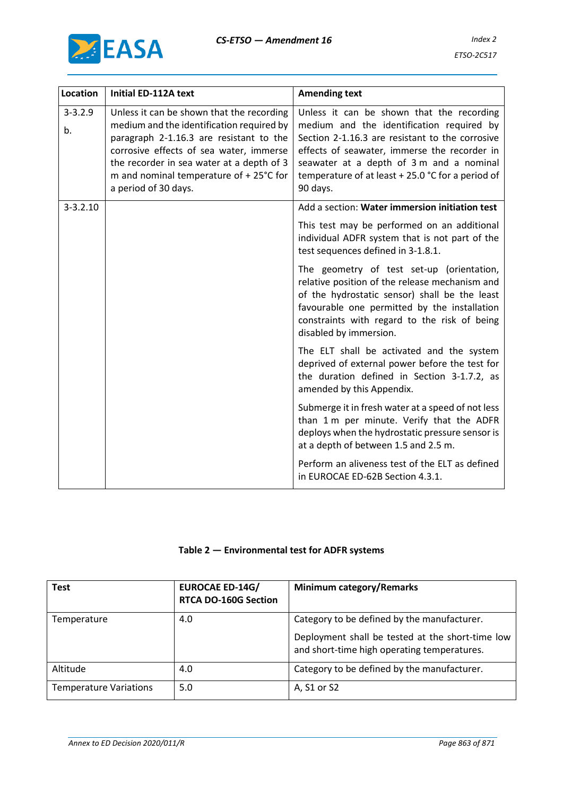

| <b>Location</b>   | <b>Initial ED-112A text</b>                                                                                                                                                                                                                                                                  | <b>Amending text</b>                                                                                                                                                                                                                                                                                   |
|-------------------|----------------------------------------------------------------------------------------------------------------------------------------------------------------------------------------------------------------------------------------------------------------------------------------------|--------------------------------------------------------------------------------------------------------------------------------------------------------------------------------------------------------------------------------------------------------------------------------------------------------|
| $3 - 3.2.9$<br>b. | Unless it can be shown that the recording<br>medium and the identification required by<br>paragraph 2-1.16.3 are resistant to the<br>corrosive effects of sea water, immerse<br>the recorder in sea water at a depth of 3<br>m and nominal temperature of + 25°C for<br>a period of 30 days. | Unless it can be shown that the recording<br>medium and the identification required by<br>Section 2-1.16.3 are resistant to the corrosive<br>effects of seawater, immerse the recorder in<br>seawater at a depth of 3 m and a nominal<br>temperature of at least + 25.0 °C for a period of<br>90 days. |
| $3 - 3.2.10$      |                                                                                                                                                                                                                                                                                              | Add a section: Water immersion initiation test                                                                                                                                                                                                                                                         |
|                   |                                                                                                                                                                                                                                                                                              | This test may be performed on an additional<br>individual ADFR system that is not part of the<br>test sequences defined in 3-1.8.1.                                                                                                                                                                    |
|                   |                                                                                                                                                                                                                                                                                              | The geometry of test set-up (orientation,<br>relative position of the release mechanism and<br>of the hydrostatic sensor) shall be the least<br>favourable one permitted by the installation<br>constraints with regard to the risk of being<br>disabled by immersion.                                 |
|                   |                                                                                                                                                                                                                                                                                              | The ELT shall be activated and the system<br>deprived of external power before the test for<br>the duration defined in Section 3-1.7.2, as<br>amended by this Appendix.                                                                                                                                |
|                   |                                                                                                                                                                                                                                                                                              | Submerge it in fresh water at a speed of not less<br>than 1 m per minute. Verify that the ADFR<br>deploys when the hydrostatic pressure sensor is<br>at a depth of between 1.5 and 2.5 m.                                                                                                              |
|                   |                                                                                                                                                                                                                                                                                              | Perform an aliveness test of the ELT as defined<br>in EUROCAE ED-62B Section 4.3.1.                                                                                                                                                                                                                    |

### **Table 2 — Environmental test for ADFR systems**

| <b>Test</b>                   | <b>EUROCAE ED-14G/</b><br><b>RTCA DO-160G Section</b> | <b>Minimum category/Remarks</b>                                                                 |
|-------------------------------|-------------------------------------------------------|-------------------------------------------------------------------------------------------------|
| Temperature                   | 4.0                                                   | Category to be defined by the manufacturer.                                                     |
|                               |                                                       | Deployment shall be tested at the short-time low<br>and short-time high operating temperatures. |
| Altitude                      | 4.0                                                   | Category to be defined by the manufacturer.                                                     |
| <b>Temperature Variations</b> | 5.0                                                   | A, S1 or S2                                                                                     |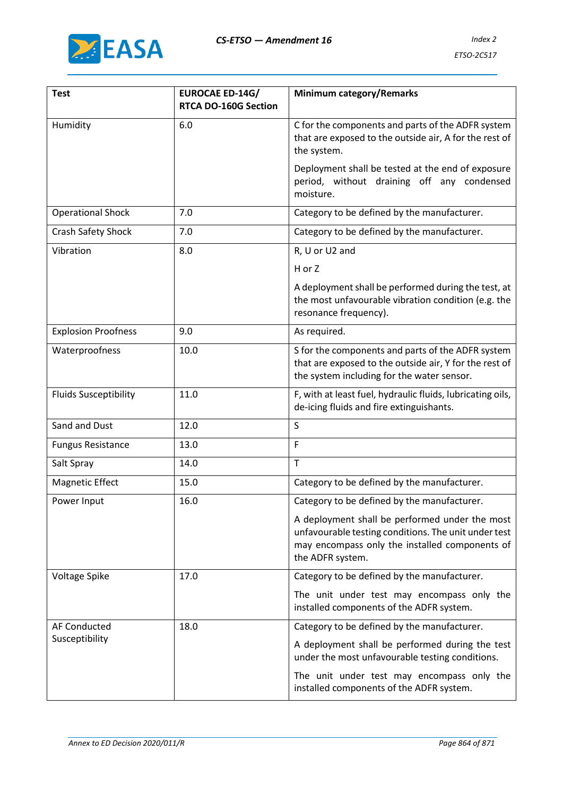

| <b>Test</b>                  | <b>EUROCAE ED-14G/</b><br>RTCA DO-160G Section | <b>Minimum category/Remarks</b>                                                                                                                                              |  |  |  |
|------------------------------|------------------------------------------------|------------------------------------------------------------------------------------------------------------------------------------------------------------------------------|--|--|--|
| Humidity                     | 6.0                                            | C for the components and parts of the ADFR system<br>that are exposed to the outside air, A for the rest of<br>the system.                                                   |  |  |  |
|                              |                                                | Deployment shall be tested at the end of exposure<br>period, without draining off any condensed<br>moisture.                                                                 |  |  |  |
| <b>Operational Shock</b>     | 7.0                                            | Category to be defined by the manufacturer.                                                                                                                                  |  |  |  |
| Crash Safety Shock           | 7.0                                            | Category to be defined by the manufacturer.                                                                                                                                  |  |  |  |
| Vibration                    | 8.0                                            | R, U or U2 and                                                                                                                                                               |  |  |  |
|                              |                                                | H or Z                                                                                                                                                                       |  |  |  |
|                              |                                                | A deployment shall be performed during the test, at<br>the most unfavourable vibration condition (e.g. the<br>resonance frequency).                                          |  |  |  |
| <b>Explosion Proofness</b>   | 9.0                                            | As required.                                                                                                                                                                 |  |  |  |
| Waterproofness               | 10.0                                           | S for the components and parts of the ADFR system<br>that are exposed to the outside air, Y for the rest of<br>the system including for the water sensor.                    |  |  |  |
| <b>Fluids Susceptibility</b> | 11.0                                           | F, with at least fuel, hydraulic fluids, lubricating oils,<br>de-icing fluids and fire extinguishants.                                                                       |  |  |  |
| Sand and Dust                | 12.0                                           | S                                                                                                                                                                            |  |  |  |
| <b>Fungus Resistance</b>     | 13.0                                           | F                                                                                                                                                                            |  |  |  |
| Salt Spray                   | 14.0                                           | $\mathsf T$                                                                                                                                                                  |  |  |  |
| <b>Magnetic Effect</b>       | 15.0                                           | Category to be defined by the manufacturer.                                                                                                                                  |  |  |  |
| Power Input                  | 16.0                                           | Category to be defined by the manufacturer.                                                                                                                                  |  |  |  |
|                              |                                                | A deployment shall be performed under the most<br>unfavourable testing conditions. The unit under test<br>may encompass only the installed components of<br>the ADFR system. |  |  |  |
| Voltage Spike                | 17.0                                           | Category to be defined by the manufacturer.                                                                                                                                  |  |  |  |
|                              |                                                | The unit under test may encompass only the<br>installed components of the ADFR system.                                                                                       |  |  |  |
| <b>AF Conducted</b><br>18.0  |                                                | Category to be defined by the manufacturer.                                                                                                                                  |  |  |  |
| Susceptibility               |                                                | A deployment shall be performed during the test<br>under the most unfavourable testing conditions.                                                                           |  |  |  |
|                              |                                                | The unit under test may encompass only the<br>installed components of the ADFR system.                                                                                       |  |  |  |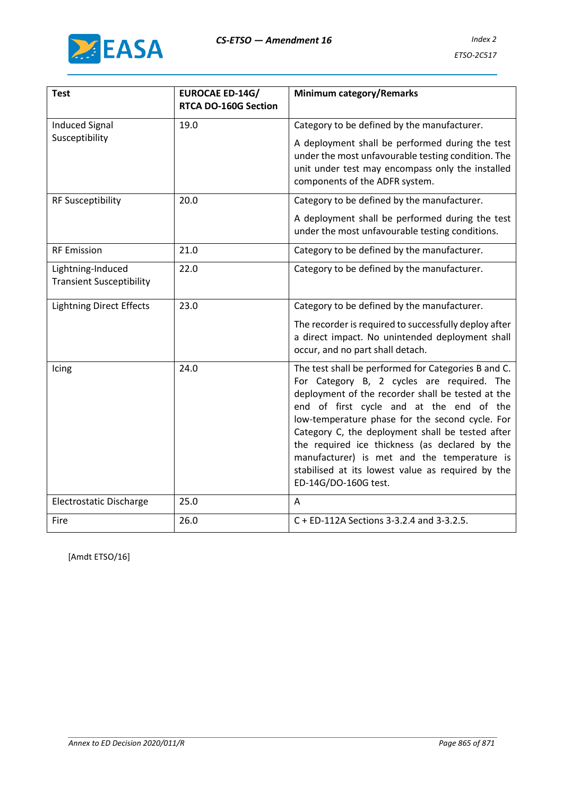

| <b>Test</b>                                          | <b>EUROCAE ED-14G/</b>      | <b>Minimum category/Remarks</b>                                                                                                                                                                                                                                                                                                                                                                                                                                                         |  |  |  |  |
|------------------------------------------------------|-----------------------------|-----------------------------------------------------------------------------------------------------------------------------------------------------------------------------------------------------------------------------------------------------------------------------------------------------------------------------------------------------------------------------------------------------------------------------------------------------------------------------------------|--|--|--|--|
|                                                      | <b>RTCA DO-160G Section</b> |                                                                                                                                                                                                                                                                                                                                                                                                                                                                                         |  |  |  |  |
| <b>Induced Signal</b>                                | 19.0                        | Category to be defined by the manufacturer.                                                                                                                                                                                                                                                                                                                                                                                                                                             |  |  |  |  |
| Susceptibility                                       |                             | A deployment shall be performed during the test<br>under the most unfavourable testing condition. The<br>unit under test may encompass only the installed<br>components of the ADFR system.                                                                                                                                                                                                                                                                                             |  |  |  |  |
| <b>RF Susceptibility</b>                             | 20.0                        | Category to be defined by the manufacturer.                                                                                                                                                                                                                                                                                                                                                                                                                                             |  |  |  |  |
|                                                      |                             | A deployment shall be performed during the test<br>under the most unfavourable testing conditions.                                                                                                                                                                                                                                                                                                                                                                                      |  |  |  |  |
| <b>RF Emission</b>                                   | 21.0                        | Category to be defined by the manufacturer.                                                                                                                                                                                                                                                                                                                                                                                                                                             |  |  |  |  |
| Lightning-Induced<br><b>Transient Susceptibility</b> | 22.0                        | Category to be defined by the manufacturer.                                                                                                                                                                                                                                                                                                                                                                                                                                             |  |  |  |  |
| <b>Lightning Direct Effects</b>                      | 23.0                        | Category to be defined by the manufacturer.                                                                                                                                                                                                                                                                                                                                                                                                                                             |  |  |  |  |
|                                                      |                             | The recorder is required to successfully deploy after<br>a direct impact. No unintended deployment shall<br>occur, and no part shall detach.                                                                                                                                                                                                                                                                                                                                            |  |  |  |  |
| Icing                                                | 24.0                        | The test shall be performed for Categories B and C.<br>For Category B, 2 cycles are required. The<br>deployment of the recorder shall be tested at the<br>end of first cycle and at the end of the<br>low-temperature phase for the second cycle. For<br>Category C, the deployment shall be tested after<br>the required ice thickness (as declared by the<br>manufacturer) is met and the temperature is<br>stabilised at its lowest value as required by the<br>ED-14G/DO-160G test. |  |  |  |  |
| Electrostatic Discharge                              | 25.0                        | A                                                                                                                                                                                                                                                                                                                                                                                                                                                                                       |  |  |  |  |
| Fire                                                 | 26.0                        | C + ED-112A Sections 3-3.2.4 and 3-3.2.5.                                                                                                                                                                                                                                                                                                                                                                                                                                               |  |  |  |  |

[Amdt ETSO/16]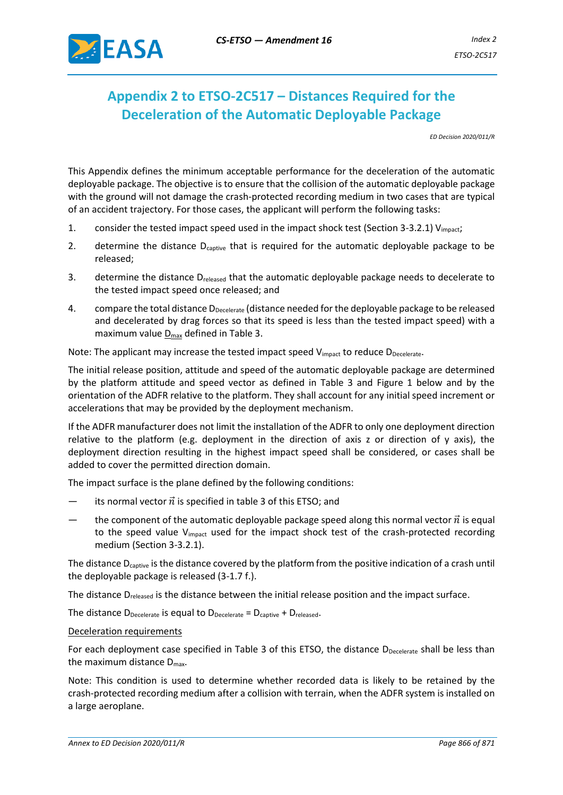

# **Appendix 2 to ETSO-2C517 – Distances Required for the Deceleration of the Automatic Deployable Package**

*ED Decision 2020/011/R*

This Appendix defines the minimum acceptable performance for the deceleration of the automatic deployable package. The objective is to ensure that the collision of the automatic deployable package with the ground will not damage the crash-protected recording medium in two cases that are typical of an accident trajectory. For those cases, the applicant will perform the following tasks:

- 1. consider the tested impact speed used in the impact shock test (Section 3-3.2.1)  $V_{\text{impact}}$ ;
- 2. determine the distance  $D_{\text{cavity}}$  that is required for the automatic deployable package to be released;
- 3. determine the distance D<sub>released</sub> that the automatic deployable package needs to decelerate to the tested impact speed once released; and
- 4. compare the total distance D<sub>Decelerate</sub> (distance needed for the deployable package to be released and decelerated by drag forces so that its speed is less than the tested impact speed) with a maximum value  $D_{\text{max}}$  defined in Table 3.

Note: The applicant may increase the tested impact speed  $V_{impart}$  to reduce  $D_{Decelerate}$ .

The initial release position, attitude and speed of the automatic deployable package are determined by the platform attitude and speed vector as defined in Table 3 and Figure 1 below and by the orientation of the ADFR relative to the platform. They shall account for any initial speed increment or accelerations that may be provided by the deployment mechanism.

If the ADFR manufacturer does not limit the installation of the ADFR to only one deployment direction relative to the platform (e.g. deployment in the direction of axis z or direction of y axis), the deployment direction resulting in the highest impact speed shall be considered, or cases shall be added to cover the permitted direction domain.

The impact surface is the plane defined by the following conditions:

- its normal vector  $\vec{n}$  is specified in table 3 of this ETSO; and
- the component of the automatic deployable package speed along this normal vector  $\vec{n}$  is equal to the speed value V<sub>impact</sub> used for the impact shock test of the crash-protected recording medium (Section 3-3.2.1).

The distance  $D_{\text{cavity}}$  is the distance covered by the platform from the positive indication of a crash until the deployable package is released (3-1.7 f.).

The distance  $D_{\text{release}}$  is the distance between the initial release position and the impact surface.

The distance  $D_{\text{Decelerate}}$  is equal to  $D_{\text{Decelerate}} = D_{\text{capture}} + D_{\text{released}}$ .

#### Deceleration requirements

For each deployment case specified in Table 3 of this ETSO, the distance DDecelerate shall be less than the maximum distance  $D_{\text{max}}$ .

Note: This condition is used to determine whether recorded data is likely to be retained by the crash-protected recording medium after a collision with terrain, when the ADFR system is installed on a large aeroplane.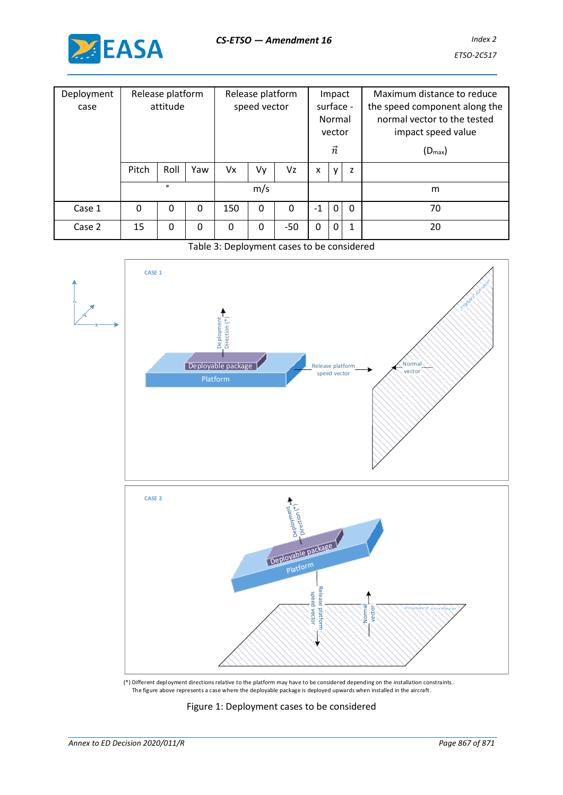

| Deployment<br>case | Release platform<br>attitude |         | Release platform<br>speed vector |          | Impact<br>surface -<br>Normal<br>vector<br>$\vec{n}$ |          |      | Maximum distance to reduce<br>the speed component along the<br>normal vector to the tested<br>impact speed value<br>$(D_{\text{max}})$ |              |    |
|--------------------|------------------------------|---------|----------------------------------|----------|------------------------------------------------------|----------|------|----------------------------------------------------------------------------------------------------------------------------------------|--------------|----|
|                    |                              |         |                                  |          |                                                      |          |      |                                                                                                                                        |              |    |
|                    | Pitch                        | Roll    | Yaw                              | Vx       | Vy                                                   | Vz       | X    | y                                                                                                                                      | z            |    |
|                    |                              | $\circ$ |                                  |          | m/s                                                  |          |      |                                                                                                                                        |              | m  |
| Case 1             | 0                            | 0       | 0                                | 150      | 0                                                    | $\Omega$ | $-1$ | $\mathbf{0}$                                                                                                                           | $\mathbf{0}$ | 70 |
| Case 2             | 15                           | 0       | 0                                | $\Omega$ | 0                                                    | $-50$    | 0    | $\mathbf 0$                                                                                                                            | 1            | 20 |

### Table 3: Deployment cases to be considered



(\*) Different deployment directions relative to the platform may have to be considered depending on the installation constraints. The figure above represents a case where the deployable package is deployed upwards when installed in the aircraft.

#### Figure 1: Deployment cases to be considered